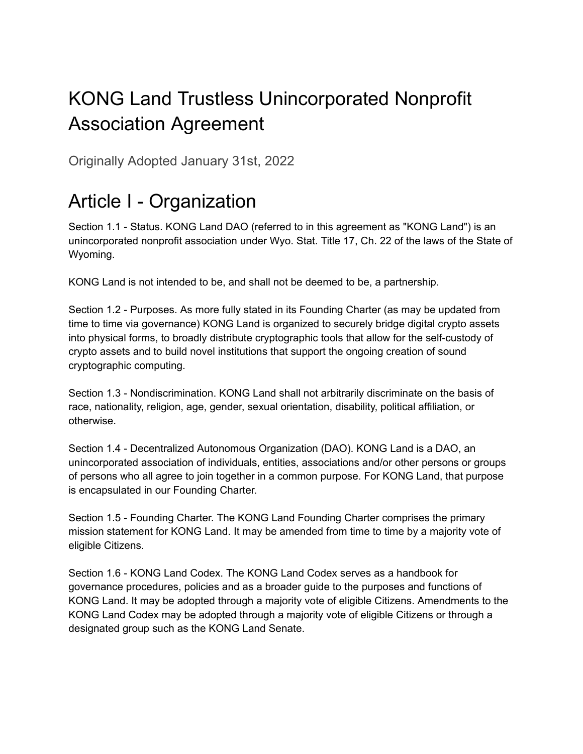## KONG Land Trustless Unincorporated Nonprofit Association Agreement

Originally Adopted January 31st, 2022

## Article I - Organization

Section 1.1 - Status. KONG Land DAO (referred to in this agreement as "KONG Land") is an unincorporated nonprofit association under Wyo. Stat. Title 17, Ch. 22 of the laws of the State of Wyoming.

KONG Land is not intended to be, and shall not be deemed to be, a partnership.

Section 1.2 - Purposes. As more fully stated in its Founding Charter (as may be updated from time to time via governance) KONG Land is organized to securely bridge digital crypto assets into physical forms, to broadly distribute cryptographic tools that allow for the self-custody of crypto assets and to build novel institutions that support the ongoing creation of sound cryptographic computing.

Section 1.3 - Nondiscrimination. KONG Land shall not arbitrarily discriminate on the basis of race, nationality, religion, age, gender, sexual orientation, disability, political affiliation, or otherwise.

Section 1.4 - Decentralized Autonomous Organization (DAO). KONG Land is a DAO, an unincorporated association of individuals, entities, associations and/or other persons or groups of persons who all agree to join together in a common purpose. For KONG Land, that purpose is encapsulated in our Founding Charter.

Section 1.5 - Founding Charter. The KONG Land Founding Charter comprises the primary mission statement for KONG Land. It may be amended from time to time by a majority vote of eligible Citizens.

Section 1.6 - KONG Land Codex. The KONG Land Codex serves as a handbook for governance procedures, policies and as a broader guide to the purposes and functions of KONG Land. It may be adopted through a majority vote of eligible Citizens. Amendments to the KONG Land Codex may be adopted through a majority vote of eligible Citizens or through a designated group such as the KONG Land Senate.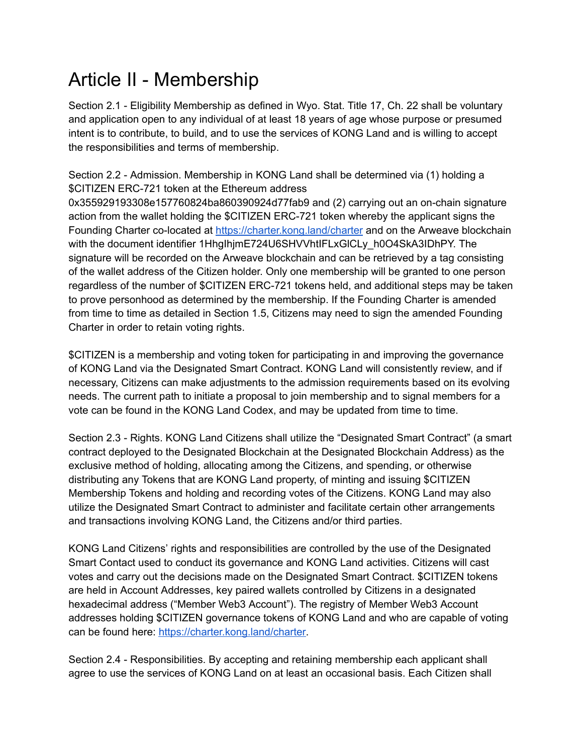#### Article II - Membership

Section 2.1 - Eligibility Membership as defined in Wyo. Stat. Title 17, Ch. 22 shall be voluntary and application open to any individual of at least 18 years of age whose purpose or presumed intent is to contribute, to build, and to use the services of KONG Land and is willing to accept the responsibilities and terms of membership.

Section 2.2 - Admission. Membership in KONG Land shall be determined via (1) holding a \$CITIZEN ERC-721 token at the Ethereum address

0x355929193308e157760824ba860390924d77fab9 and (2) carrying out an on-chain signature action from the wallet holding the \$CITIZEN ERC-721 token whereby the applicant signs the Founding Charter co-located at <https://charter.kong.land/charter> and on the Arweave blockchain with the document identifier 1HhgIhjmE724U6SHVVhtIFLxGlCLy\_h0O4SkA3IDhPY. The signature will be recorded on the Arweave blockchain and can be retrieved by a tag consisting of the wallet address of the Citizen holder. Only one membership will be granted to one person regardless of the number of \$CITIZEN ERC-721 tokens held, and additional steps may be taken to prove personhood as determined by the membership. If the Founding Charter is amended from time to time as detailed in Section 1.5, Citizens may need to sign the amended Founding Charter in order to retain voting rights.

\$CITIZEN is a membership and voting token for participating in and improving the governance of KONG Land via the Designated Smart Contract. KONG Land will consistently review, and if necessary, Citizens can make adjustments to the admission requirements based on its evolving needs. The current path to initiate a proposal to join membership and to signal members for a vote can be found in the KONG Land Codex, and may be updated from time to time.

Section 2.3 - Rights. KONG Land Citizens shall utilize the "Designated Smart Contract" (a smart contract deployed to the Designated Blockchain at the Designated Blockchain Address) as the exclusive method of holding, allocating among the Citizens, and spending, or otherwise distributing any Tokens that are KONG Land property, of minting and issuing \$CITIZEN Membership Tokens and holding and recording votes of the Citizens. KONG Land may also utilize the Designated Smart Contract to administer and facilitate certain other arrangements and transactions involving KONG Land, the Citizens and/or third parties.

KONG Land Citizens' rights and responsibilities are controlled by the use of the Designated Smart Contact used to conduct its governance and KONG Land activities. Citizens will cast votes and carry out the decisions made on the Designated Smart Contract. \$CITIZEN tokens are held in Account Addresses, key paired wallets controlled by Citizens in a designated hexadecimal address ("Member Web3 Account"). The registry of Member Web3 Account addresses holding \$CITIZEN governance tokens of KONG Land and who are capable of voting can be found here: <https://charter.kong.land/charter>.

Section 2.4 - Responsibilities. By accepting and retaining membership each applicant shall agree to use the services of KONG Land on at least an occasional basis. Each Citizen shall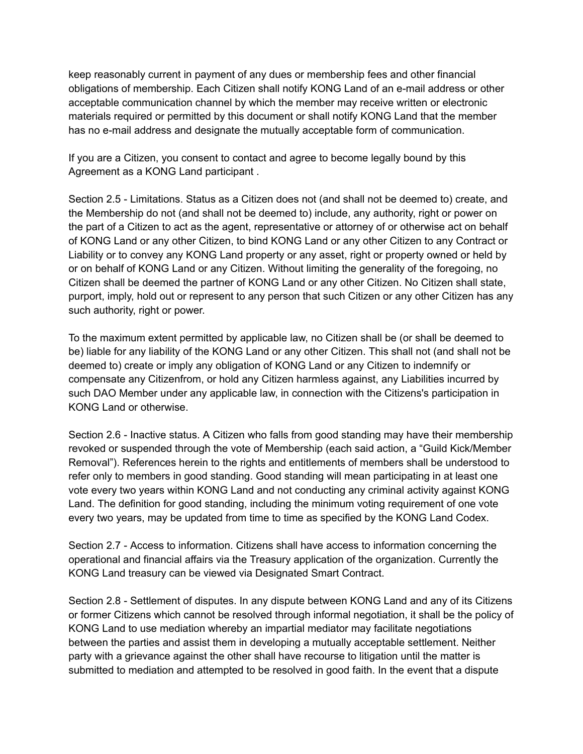keep reasonably current in payment of any dues or membership fees and other financial obligations of membership. Each Citizen shall notify KONG Land of an e-mail address or other acceptable communication channel by which the member may receive written or electronic materials required or permitted by this document or shall notify KONG Land that the member has no e-mail address and designate the mutually acceptable form of communication.

If you are a Citizen, you consent to contact and agree to become legally bound by this Agreement as a KONG Land participant .

Section 2.5 - Limitations. Status as a Citizen does not (and shall not be deemed to) create, and the Membership do not (and shall not be deemed to) include, any authority, right or power on the part of a Citizen to act as the agent, representative or attorney of or otherwise act on behalf of KONG Land or any other Citizen, to bind KONG Land or any other Citizen to any Contract or Liability or to convey any KONG Land property or any asset, right or property owned or held by or on behalf of KONG Land or any Citizen. Without limiting the generality of the foregoing, no Citizen shall be deemed the partner of KONG Land or any other Citizen. No Citizen shall state, purport, imply, hold out or represent to any person that such Citizen or any other Citizen has any such authority, right or power.

To the maximum extent permitted by applicable law, no Citizen shall be (or shall be deemed to be) liable for any liability of the KONG Land or any other Citizen. This shall not (and shall not be deemed to) create or imply any obligation of KONG Land or any Citizen to indemnify or compensate any Citizenfrom, or hold any Citizen harmless against, any Liabilities incurred by such DAO Member under any applicable law, in connection with the Citizens's participation in KONG Land or otherwise.

Section 2.6 - Inactive status. A Citizen who falls from good standing may have their membership revoked or suspended through the vote of Membership (each said action, a "Guild Kick/Member Removal"). References herein to the rights and entitlements of members shall be understood to refer only to members in good standing. Good standing will mean participating in at least one vote every two years within KONG Land and not conducting any criminal activity against KONG Land. The definition for good standing, including the minimum voting requirement of one vote every two years, may be updated from time to time as specified by the KONG Land Codex.

Section 2.7 - Access to information. Citizens shall have access to information concerning the operational and financial affairs via the Treasury application of the organization. Currently the KONG Land treasury can be viewed via Designated Smart Contract.

Section 2.8 - Settlement of disputes. In any dispute between KONG Land and any of its Citizens or former Citizens which cannot be resolved through informal negotiation, it shall be the policy of KONG Land to use mediation whereby an impartial mediator may facilitate negotiations between the parties and assist them in developing a mutually acceptable settlement. Neither party with a grievance against the other shall have recourse to litigation until the matter is submitted to mediation and attempted to be resolved in good faith. In the event that a dispute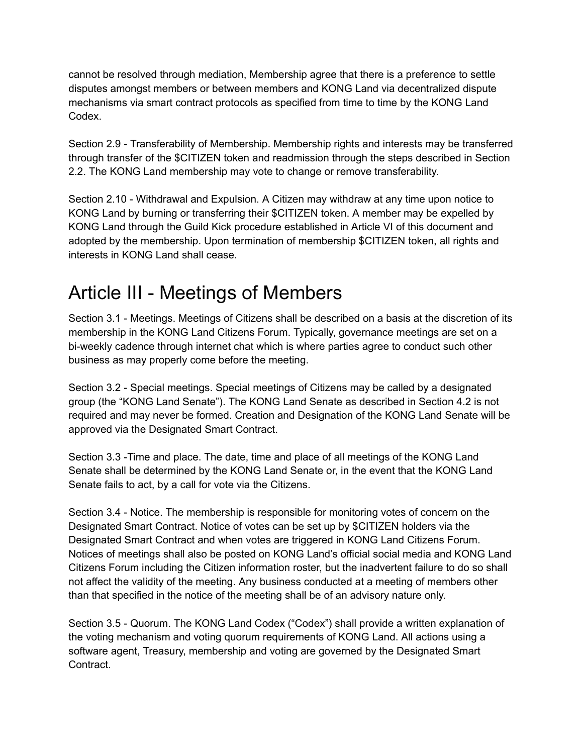cannot be resolved through mediation, Membership agree that there is a preference to settle disputes amongst members or between members and KONG Land via decentralized dispute mechanisms via smart contract protocols as specified from time to time by the KONG Land Codex.

Section 2.9 - Transferability of Membership. Membership rights and interests may be transferred through transfer of the \$CITIZEN token and readmission through the steps described in Section 2.2. The KONG Land membership may vote to change or remove transferability.

Section 2.10 - Withdrawal and Expulsion. A Citizen may withdraw at any time upon notice to KONG Land by burning or transferring their \$CITIZEN token. A member may be expelled by KONG Land through the Guild Kick procedure established in Article VI of this document and adopted by the membership. Upon termination of membership \$CITIZEN token, all rights and interests in KONG Land shall cease.

#### Article III - Meetings of Members

Section 3.1 - Meetings. Meetings of Citizens shall be described on a basis at the discretion of its membership in the KONG Land Citizens Forum. Typically, governance meetings are set on a bi-weekly cadence through internet chat which is where parties agree to conduct such other business as may properly come before the meeting.

Section 3.2 - Special meetings. Special meetings of Citizens may be called by a designated group (the "KONG Land Senate"). The KONG Land Senate as described in Section 4.2 is not required and may never be formed. Creation and Designation of the KONG Land Senate will be approved via the Designated Smart Contract.

Section 3.3 -Time and place. The date, time and place of all meetings of the KONG Land Senate shall be determined by the KONG Land Senate or, in the event that the KONG Land Senate fails to act, by a call for vote via the Citizens.

Section 3.4 - Notice. The membership is responsible for monitoring votes of concern on the Designated Smart Contract. Notice of votes can be set up by \$CITIZEN holders via the Designated Smart Contract and when votes are triggered in KONG Land Citizens Forum. Notices of meetings shall also be posted on KONG Land's official social media and KONG Land Citizens Forum including the Citizen information roster, but the inadvertent failure to do so shall not affect the validity of the meeting. Any business conducted at a meeting of members other than that specified in the notice of the meeting shall be of an advisory nature only.

Section 3.5 - Quorum. The KONG Land Codex ("Codex") shall provide a written explanation of the voting mechanism and voting quorum requirements of KONG Land. All actions using a software agent, Treasury, membership and voting are governed by the Designated Smart Contract.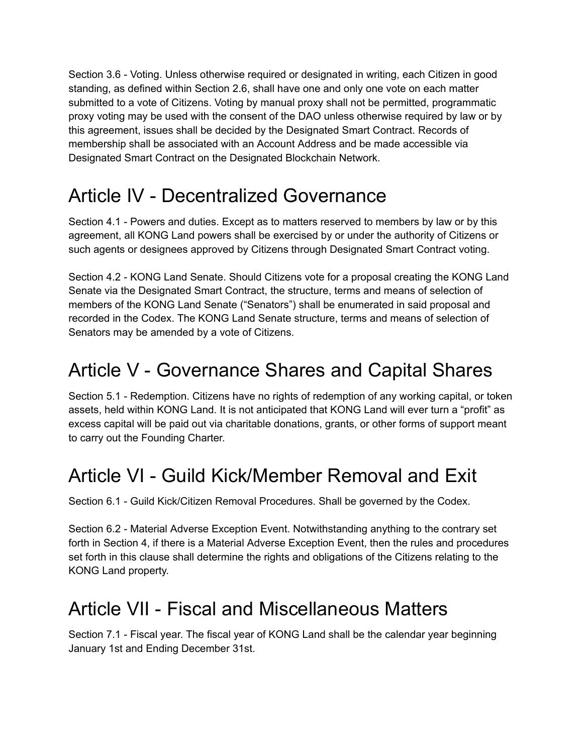Section 3.6 - Voting. Unless otherwise required or designated in writing, each Citizen in good standing, as defined within Section 2.6, shall have one and only one vote on each matter submitted to a vote of Citizens. Voting by manual proxy shall not be permitted, programmatic proxy voting may be used with the consent of the DAO unless otherwise required by law or by this agreement, issues shall be decided by the Designated Smart Contract. Records of membership shall be associated with an Account Address and be made accessible via Designated Smart Contract on the Designated Blockchain Network.

# Article IV - Decentralized Governance

Section 4.1 - Powers and duties. Except as to matters reserved to members by law or by this agreement, all KONG Land powers shall be exercised by or under the authority of Citizens or such agents or designees approved by Citizens through Designated Smart Contract voting.

Section 4.2 - KONG Land Senate. Should Citizens vote for a proposal creating the KONG Land Senate via the Designated Smart Contract, the structure, terms and means of selection of members of the KONG Land Senate ("Senators") shall be enumerated in said proposal and recorded in the Codex. The KONG Land Senate structure, terms and means of selection of Senators may be amended by a vote of Citizens.

#### Article V - Governance Shares and Capital Shares

Section 5.1 - Redemption. Citizens have no rights of redemption of any working capital, or token assets, held within KONG Land. It is not anticipated that KONG Land will ever turn a "profit" as excess capital will be paid out via charitable donations, grants, or other forms of support meant to carry out the Founding Charter.

#### Article VI - Guild Kick/Member Removal and Exit

Section 6.1 - Guild Kick/Citizen Removal Procedures. Shall be governed by the Codex.

Section 6.2 - Material Adverse Exception Event. Notwithstanding anything to the contrary set forth in Section 4, if there is a Material Adverse Exception Event, then the rules and procedures set forth in this clause shall determine the rights and obligations of the Citizens relating to the KONG Land property.

#### Article VII - Fiscal and Miscellaneous Matters

Section 7.1 - Fiscal year. The fiscal year of KONG Land shall be the calendar year beginning January 1st and Ending December 31st.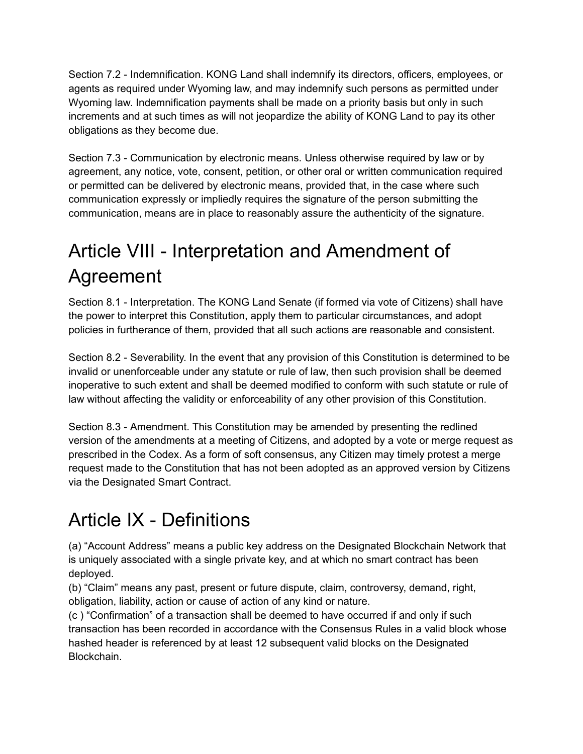Section 7.2 - Indemnification. KONG Land shall indemnify its directors, officers, employees, or agents as required under Wyoming law, and may indemnify such persons as permitted under Wyoming law. Indemnification payments shall be made on a priority basis but only in such increments and at such times as will not jeopardize the ability of KONG Land to pay its other obligations as they become due.

Section 7.3 - Communication by electronic means. Unless otherwise required by law or by agreement, any notice, vote, consent, petition, or other oral or written communication required or permitted can be delivered by electronic means, provided that, in the case where such communication expressly or impliedly requires the signature of the person submitting the communication, means are in place to reasonably assure the authenticity of the signature.

# Article VIII - Interpretation and Amendment of Agreement

Section 8.1 - Interpretation. The KONG Land Senate (if formed via vote of Citizens) shall have the power to interpret this Constitution, apply them to particular circumstances, and adopt policies in furtherance of them, provided that all such actions are reasonable and consistent.

Section 8.2 - Severability. In the event that any provision of this Constitution is determined to be invalid or unenforceable under any statute or rule of law, then such provision shall be deemed inoperative to such extent and shall be deemed modified to conform with such statute or rule of law without affecting the validity or enforceability of any other provision of this Constitution.

Section 8.3 - Amendment. This Constitution may be amended by presenting the redlined version of the amendments at a meeting of Citizens, and adopted by a vote or merge request as prescribed in the Codex. As a form of soft consensus, any Citizen may timely protest a merge request made to the Constitution that has not been adopted as an approved version by Citizens via the Designated Smart Contract.

# Article IX - Definitions

(a) "Account Address" means a public key address on the Designated Blockchain Network that is uniquely associated with a single private key, and at which no smart contract has been deployed.

(b) "Claim" means any past, present or future dispute, claim, controversy, demand, right, obligation, liability, action or cause of action of any kind or nature.

(c ) "Confirmation" of a transaction shall be deemed to have occurred if and only if such transaction has been recorded in accordance with the Consensus Rules in a valid block whose hashed header is referenced by at least 12 subsequent valid blocks on the Designated Blockchain.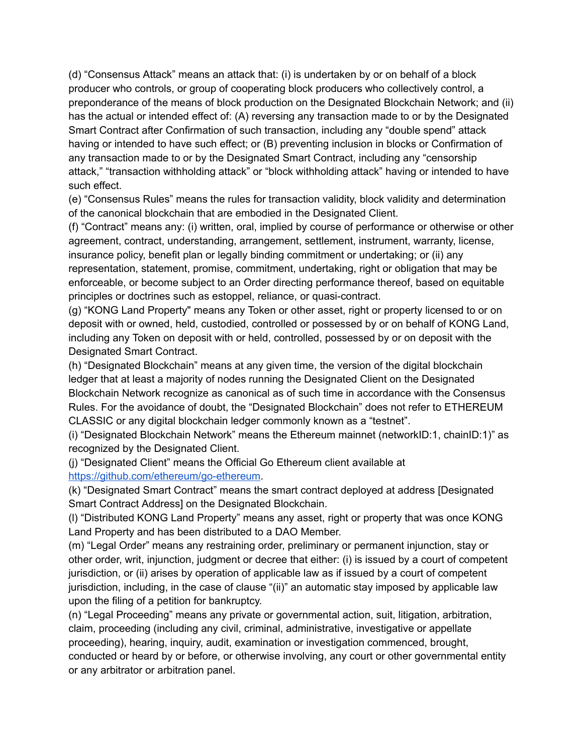(d) "Consensus Attack" means an attack that: (i) is undertaken by or on behalf of a block producer who controls, or group of cooperating block producers who collectively control, a preponderance of the means of block production on the Designated Blockchain Network; and (ii) has the actual or intended effect of: (A) reversing any transaction made to or by the Designated Smart Contract after Confirmation of such transaction, including any "double spend" attack having or intended to have such effect; or (B) preventing inclusion in blocks or Confirmation of any transaction made to or by the Designated Smart Contract, including any "censorship attack," "transaction withholding attack" or "block withholding attack" having or intended to have such effect.

(e) "Consensus Rules" means the rules for transaction validity, block validity and determination of the canonical blockchain that are embodied in the Designated Client.

(f) "Contract" means any: (i) written, oral, implied by course of performance or otherwise or other agreement, contract, understanding, arrangement, settlement, instrument, warranty, license, insurance policy, benefit plan or legally binding commitment or undertaking; or (ii) any representation, statement, promise, commitment, undertaking, right or obligation that may be enforceable, or become subject to an Order directing performance thereof, based on equitable principles or doctrines such as estoppel, reliance, or quasi-contract.

(g) "KONG Land Property" means any Token or other asset, right or property licensed to or on deposit with or owned, held, custodied, controlled or possessed by or on behalf of KONG Land, including any Token on deposit with or held, controlled, possessed by or on deposit with the Designated Smart Contract.

(h) "Designated Blockchain" means at any given time, the version of the digital blockchain ledger that at least a majority of nodes running the Designated Client on the Designated Blockchain Network recognize as canonical as of such time in accordance with the Consensus Rules. For the avoidance of doubt, the "Designated Blockchain" does not refer to ETHEREUM CLASSIC or any digital blockchain ledger commonly known as a "testnet".

(i) "Designated Blockchain Network" means the Ethereum mainnet (networkID:1, chainID:1)" as recognized by the Designated Client.

(j) "Designated Client" means the Official Go Ethereum client available at [https://github.com/ethereum/go-ethereum.](https://github.com/ethereum/go-ethereum)

(k) "Designated Smart Contract" means the smart contract deployed at address [Designated Smart Contract Address] on the Designated Blockchain.

(l) "Distributed KONG Land Property" means any asset, right or property that was once KONG Land Property and has been distributed to a DAO Member.

(m) "Legal Order" means any restraining order, preliminary or permanent injunction, stay or other order, writ, injunction, judgment or decree that either: (i) is issued by a court of competent jurisdiction, or (ii) arises by operation of applicable law as if issued by a court of competent jurisdiction, including, in the case of clause "(ii)" an automatic stay imposed by applicable law upon the filing of a petition for bankruptcy.

(n) "Legal Proceeding" means any private or governmental action, suit, litigation, arbitration, claim, proceeding (including any civil, criminal, administrative, investigative or appellate proceeding), hearing, inquiry, audit, examination or investigation commenced, brought, conducted or heard by or before, or otherwise involving, any court or other governmental entity or any arbitrator or arbitration panel.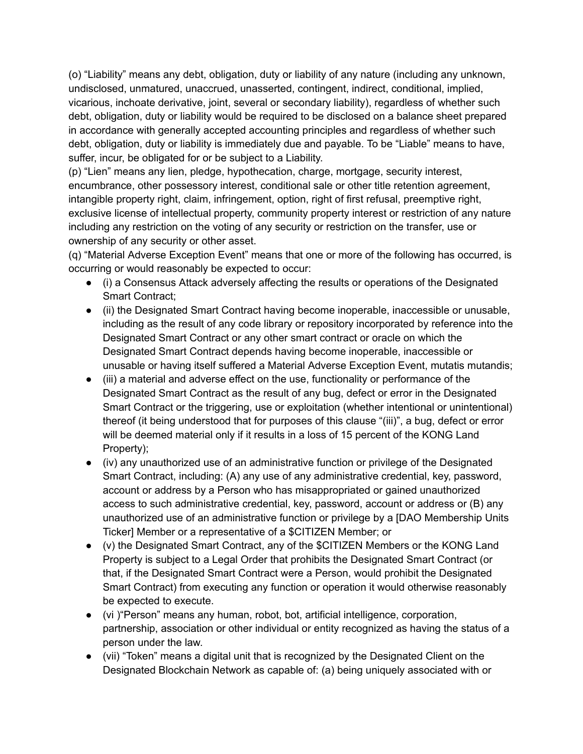(o) "Liability" means any debt, obligation, duty or liability of any nature (including any unknown, undisclosed, unmatured, unaccrued, unasserted, contingent, indirect, conditional, implied, vicarious, inchoate derivative, joint, several or secondary liability), regardless of whether such debt, obligation, duty or liability would be required to be disclosed on a balance sheet prepared in accordance with generally accepted accounting principles and regardless of whether such debt, obligation, duty or liability is immediately due and payable. To be "Liable" means to have, suffer, incur, be obligated for or be subject to a Liability.

(p) "Lien" means any lien, pledge, hypothecation, charge, mortgage, security interest, encumbrance, other possessory interest, conditional sale or other title retention agreement, intangible property right, claim, infringement, option, right of first refusal, preemptive right, exclusive license of intellectual property, community property interest or restriction of any nature including any restriction on the voting of any security or restriction on the transfer, use or ownership of any security or other asset.

(q) "Material Adverse Exception Event" means that one or more of the following has occurred, is occurring or would reasonably be expected to occur:

- (i) a Consensus Attack adversely affecting the results or operations of the Designated Smart Contract;
- (ii) the Designated Smart Contract having become inoperable, inaccessible or unusable, including as the result of any code library or repository incorporated by reference into the Designated Smart Contract or any other smart contract or oracle on which the Designated Smart Contract depends having become inoperable, inaccessible or unusable or having itself suffered a Material Adverse Exception Event, mutatis mutandis;
- (iii) a material and adverse effect on the use, functionality or performance of the Designated Smart Contract as the result of any bug, defect or error in the Designated Smart Contract or the triggering, use or exploitation (whether intentional or unintentional) thereof (it being understood that for purposes of this clause "(iii)", a bug, defect or error will be deemed material only if it results in a loss of 15 percent of the KONG Land Property);
- (iv) any unauthorized use of an administrative function or privilege of the Designated Smart Contract, including: (A) any use of any administrative credential, key, password, account or address by a Person who has misappropriated or gained unauthorized access to such administrative credential, key, password, account or address or (B) any unauthorized use of an administrative function or privilege by a [DAO Membership Units Ticker] Member or a representative of a \$CITIZEN Member; or
- (v) the Designated Smart Contract, any of the \$CITIZEN Members or the KONG Land Property is subject to a Legal Order that prohibits the Designated Smart Contract (or that, if the Designated Smart Contract were a Person, would prohibit the Designated Smart Contract) from executing any function or operation it would otherwise reasonably be expected to execute.
- (vi )"Person" means any human, robot, bot, artificial intelligence, corporation, partnership, association or other individual or entity recognized as having the status of a person under the law.
- (vii) "Token" means a digital unit that is recognized by the Designated Client on the Designated Blockchain Network as capable of: (a) being uniquely associated with or